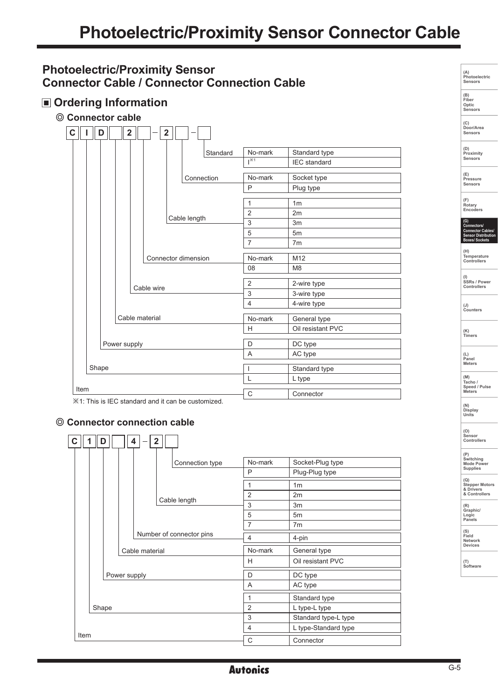# **Photoelectric/Proximity Sensor Connector Cable / Connector Connection Cable**

# **Ordering Information**

**Connector cable**

| C    |                                                                                           | D              |  | $\overline{\mathbf{2}}$ |  | $\mathbf{2}$        |             |                      |                     |  |
|------|-------------------------------------------------------------------------------------------|----------------|--|-------------------------|--|---------------------|-------------|----------------------|---------------------|--|
|      |                                                                                           |                |  |                         |  |                     | Standard    | No-mark              | Standard type       |  |
|      |                                                                                           |                |  |                         |  |                     |             | $\overline{1^{35}1}$ | <b>IEC</b> standard |  |
|      |                                                                                           |                |  |                         |  |                     |             |                      |                     |  |
|      |                                                                                           |                |  |                         |  |                     | Connection  | No-mark              | Socket type         |  |
|      |                                                                                           |                |  |                         |  |                     |             | P                    | Plug type           |  |
|      |                                                                                           |                |  |                         |  |                     |             | $\mathbf{1}$         | 1 <sub>m</sub>      |  |
|      |                                                                                           | Cable length   |  |                         |  |                     |             | $\overline{2}$       | 2m                  |  |
|      |                                                                                           |                |  |                         |  |                     |             | 3                    | 3m                  |  |
|      |                                                                                           |                |  |                         |  |                     |             | 5                    | 5 <sub>m</sub>      |  |
|      |                                                                                           |                |  |                         |  |                     |             | $\overline{7}$       | 7 <sub>m</sub>      |  |
|      |                                                                                           |                |  |                         |  |                     |             |                      |                     |  |
|      |                                                                                           |                |  |                         |  | Connector dimension |             | No-mark              | M12                 |  |
|      |                                                                                           |                |  |                         |  |                     |             | 08                   | M <sub>8</sub>      |  |
|      |                                                                                           |                |  |                         |  |                     |             |                      |                     |  |
|      |                                                                                           | Cable wire     |  |                         |  | $\overline{2}$      | 2-wire type |                      |                     |  |
|      |                                                                                           |                |  |                         |  |                     |             | 3                    | 3-wire type         |  |
|      |                                                                                           |                |  |                         |  |                     |             | 4                    | 4-wire type         |  |
|      |                                                                                           | Cable material |  |                         |  |                     |             | No-mark              | General type        |  |
|      |                                                                                           |                |  |                         |  |                     |             | H                    | Oil resistant PVC   |  |
|      |                                                                                           |                |  |                         |  |                     |             |                      |                     |  |
|      |                                                                                           | Power supply   |  |                         |  |                     |             | D                    | DC type             |  |
|      |                                                                                           |                |  |                         |  |                     |             | A                    | AC type             |  |
|      | Shape                                                                                     |                |  |                         |  |                     |             | $\overline{1}$       | Standard type       |  |
|      |                                                                                           |                |  |                         |  |                     |             | L                    | L type              |  |
| Item |                                                                                           |                |  |                         |  |                     |             |                      |                     |  |
|      | $\sim$<br>$\sim$<br><b>Service Contract Contract Contract</b><br>$\overline{\phantom{a}}$ |                |  |                         |  |                     |             | $\mathsf{C}$         | Connector           |  |

※1: This is IEC standard and it can be customized.

#### **Connector connection cable**



| (A)<br>Photoelectric<br>Sensors                                                                             |
|-------------------------------------------------------------------------------------------------------------|
| (B)<br>Fiber<br>Optic<br>Sensors                                                                            |
| (C)<br>Door/Area<br>Sensors                                                                                 |
| (D)<br>Proximity<br>Sensors                                                                                 |
| (E)<br>Pressure<br>Sensors                                                                                  |
| (F)<br>Rotary<br>Encoders                                                                                   |
| $\overline{\mathsf{G}}$<br>(G)<br>Connectors/<br>Connector Cables/<br>Sensor Distribution<br>Boxes/ Sockets |
| $($ H)<br>Temperature<br>Controllers                                                                        |
| (I)<br>SSRs / Power<br>strollers                                                                            |
| $(\mathsf{J})$<br>Counters                                                                                  |
| (K)<br>Timers                                                                                               |
| (L)<br>Panel<br><b>Meters</b>                                                                               |
| (M)<br>Tacho /<br>Speed / Pulse<br><b>Meters</b>                                                            |
| (N)<br><b>Display</b><br>Units                                                                              |
| (0)<br>Sensor<br>Controllers                                                                                |
| (P)<br>Switching<br>Mode Power<br><b>Supplies</b>                                                           |
| (Q)<br><b>Stepper Motors</b><br>& Drivers<br>۰,<br>$m +$<br>ı,                                              |
| (R)<br>Graphic/<br>п<br>.ogic<br>Panels                                                                     |
| (S)<br>Field<br>Network<br>Devices                                                                          |
| T)<br>(<br>Software                                                                                         |
|                                                                                                             |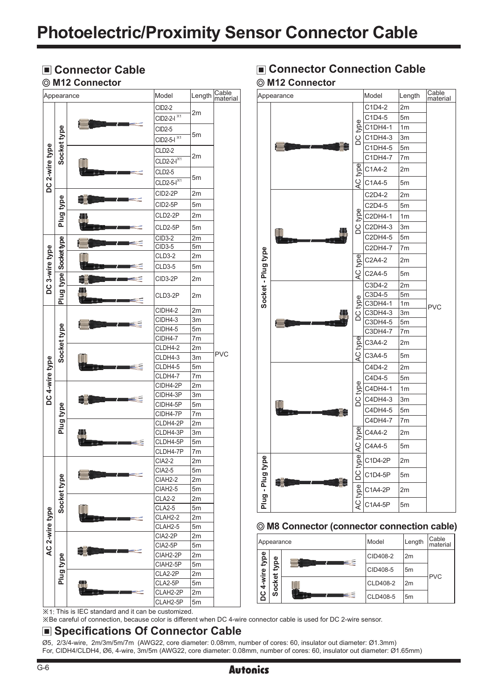#### **M12 Connector**



# **Example Connector Cable** Connector Connection Cable  **M12 Connector**



#### **M8 Connector (connector connection cable)**

| Appearance  |                    | Model    | Length         | Cable<br>material |
|-------------|--------------------|----------|----------------|-------------------|
|             | type<br>ocket<br>ၯ | CID408-2 | 2 <sub>m</sub> | <b>PVC</b>        |
| 4-wire type |                    | CID408-5 | 5 <sub>m</sub> |                   |
| ပိ          |                    | CLD408-2 | 2m             |                   |
|             |                    | CLD408-5 | 5 <sub>m</sub> |                   |

※1: This is IEC standard and it can be customized.

※Be careful of connection, because color is different when DC 4-wire connector cable is used for DC 2-wire sensor.

## **Specifications Of Connector Cable**

Ø5, 2/3/4-wire, 2m/3m/5m/7m (AWG22, core diameter: 0.08mm, number of cores: 60, insulator out diameter: Ø1.3mm) For, CIDH4/CLDH4, Ø6, 4-wire, 3m/5m (AWG22, core diameter: 0.08mm, number of cores: 60, insulator out diameter: Ø1.65mm)

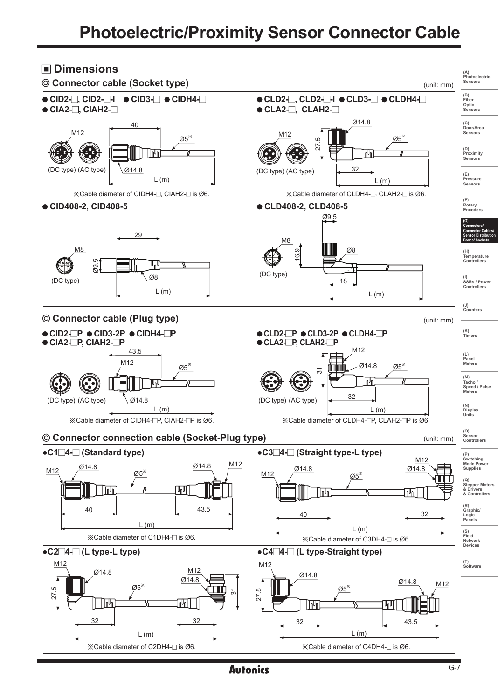# **Photoelectric/Proximity Sensor Connector Cable**



**Autonics**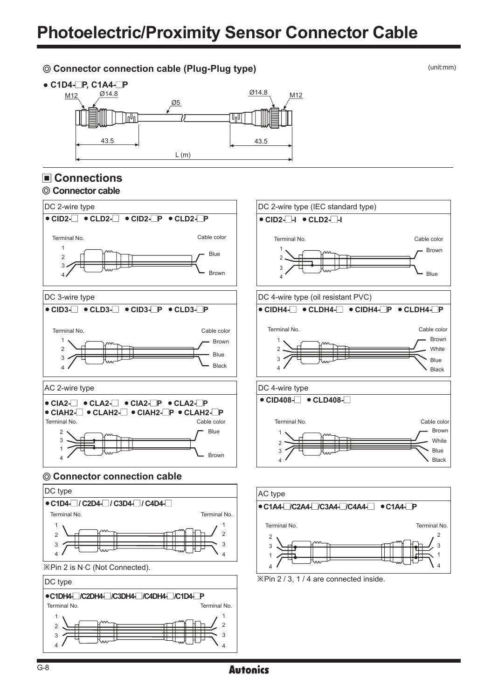### **Connector connection cable (Plug-Plug type)** (unit:mm)



# **Connections**





3 <del> </del> 4  $\sim$  4